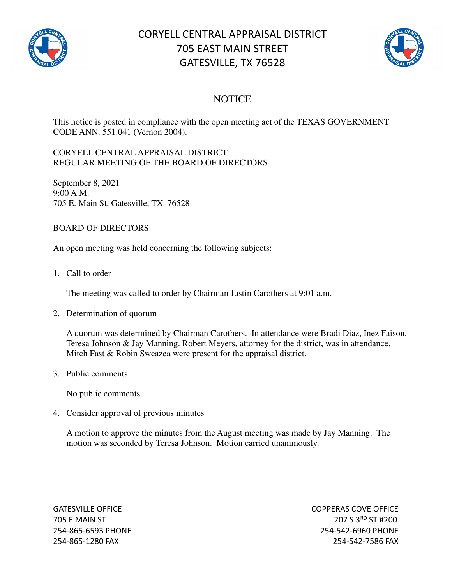

## CORYELL CENTRAL APPRAISAL DISTRICT 705 EAST MAIN STREET GATESVILLE, TX 76528



## **NOTICE**

This notice is posted in compliance with the open meeting act of the TEXAS GOVERNMENT CODE ANN. 551.041 (Vernon 2004).

## CORYELL CENTRAL APPRAISAL DISTRICT REGULAR MEETING OF THE BOARD OF DIRECTORS

September 8, 2021 9:00 A.M. 705 E. Main St, Gatesville, TX 76528

## BOARD OF DIRECTORS

An open meeting was held concerning the following subjects:

1. Call to order

The meeting was called to order by Chairman Justin Carothers at 9:01 a.m.

2. Determination of quorum

A quorum was determined by Chairman Carothers. In attendance were Bradi Diaz, Inez Faison, Teresa Johnson & Jay Manning. Robert Meyers, attorney for the district, was in attendance. Mitch Fast & Robin Sweazea were present for the appraisal district.

3. Public comments

No public comments.

4. Consider approval of previous minutes

A motion to approve the minutes from the August meeting was made by Jay Manning. The motion was seconded by Teresa Johnson. Motion carried unanimously.

GATESVILLE OFFICE **COPPERAS COVE OF EXAMPLE 2** 705 E MAIN ST 207 S 3<sup>RD</sup> ST #200 254-865-6593 PHONE 254-542-6960 PHONE 254-865-1280 FAX 254-542-7586 FAX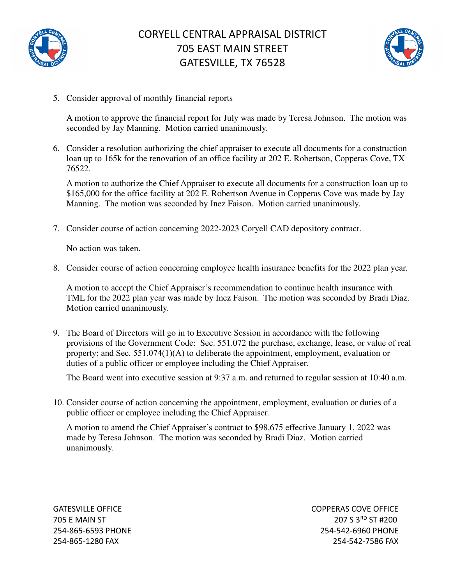



5. Consider approval of monthly financial reports

A motion to approve the financial report for July was made by Teresa Johnson. The motion was seconded by Jay Manning. Motion carried unanimously.

6. Consider a resolution authorizing the chief appraiser to execute all documents for a construction loan up to 165k for the renovation of an office facility at 202 E. Robertson, Copperas Cove, TX 76522.

A motion to authorize the Chief Appraiser to execute all documents for a construction loan up to \$165,000 for the office facility at 202 E. Robertson Avenue in Copperas Cove was made by Jay Manning. The motion was seconded by Inez Faison. Motion carried unanimously.

7. Consider course of action concerning 2022-2023 Coryell CAD depository contract.

No action was taken.

8. Consider course of action concerning employee health insurance benefits for the 2022 plan year.

A motion to accept the Chief Appraiser's recommendation to continue health insurance with TML for the 2022 plan year was made by Inez Faison. The motion was seconded by Bradi Diaz. Motion carried unanimously.

9. The Board of Directors will go in to Executive Session in accordance with the following provisions of the Government Code: Sec. 551.072 the purchase, exchange, lease, or value of real property; and Sec. 551.074(1)(A) to deliberate the appointment, employment, evaluation or duties of a public officer or employee including the Chief Appraiser.

The Board went into executive session at 9:37 a.m. and returned to regular session at 10:40 a.m.

10. Consider course of action concerning the appointment, employment, evaluation or duties of a public officer or employee including the Chief Appraiser.

A motion to amend the Chief Appraiser's contract to \$98,675 effective January 1, 2022 was made by Teresa Johnson. The motion was seconded by Bradi Diaz. Motion carried unanimously.

GATESVILLE OFFICE **COPPERAS COVE OF EXAMPLE 2** 705 E MAIN ST 207 S 3RD ST #200 254-865-6593 PHONE 254-542-6960 PHONE 254-865-1280 FAX 254-542-7586 FAX